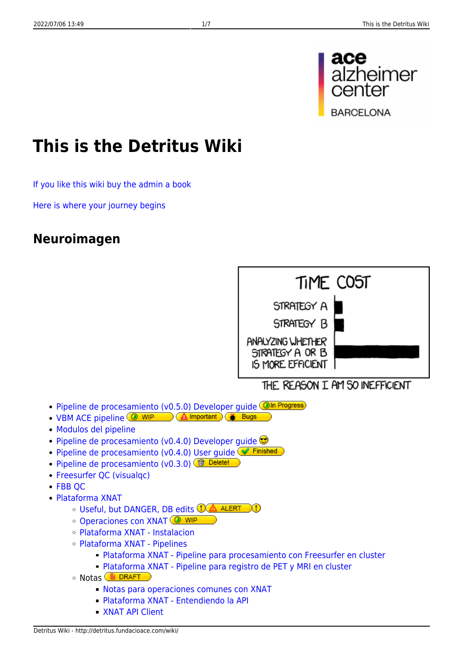

# **This is the Detritus Wiki**

[If you like this wiki buy the admin a book](http://www.amazon.es/registry/wishlist/9JG1RDNW6RGT?reveal=unpurchased&filter=all&sort=priority)

[Here is where your journey begins](http://shorturl.at/kBHXZ)

### **Neuroimagen**



THE REASON I AM SO INEFFICIENT

- · [Pipeline de procesamiento \(v0.5.0\) Developer guide](http://detritus.fundacioace.com/wiki/doku.php?id=neuroimagen:pipe05) **OIn Progress**
- [VBM ACE pipeline](http://detritus.fundacioace.com/wiki/doku.php?id=neuroimagen:vbm_own) **O WIP A** Important **A** Bugs
- [Modulos del pipeline](http://detritus.fundacioace.com/wiki/doku.php?id=neuroimagen:neuro4.pm)
- Pipeline de procesamiento (v0.4.0) Developer quide
- Pipeline de procesamiento (v0.4.0) User quide <sup>● Finished</sup>
- [Pipeline de procesamiento \(v0.3.0\)](http://detritus.fundacioace.com/wiki/doku.php?id=neuroimagen:pipe03) ( Delete!
- Freesurfer OC (visualgc)
- [FBB QC](http://detritus.fundacioace.com/wiki/doku.php?id=neuroimagen:qc_fbb_pet)
- [Plataforma XNAT](http://detritus.fundacioace.com/wiki/doku.php?id=neuroimagen:xnat)
	- O [Useful, but DANGER, DB edits](http://detritus.fundacioace.com/wiki/doku.php?id=neuroimagen:xnat_db_edits) CA ALERT m
	- [Operaciones con XNAT](http://detritus.fundacioace.com/wiki/doku.php?id=neuroimagen:xnat_operations) <sup>1</sup> WIP
	- [Plataforma XNAT Instalacion](http://detritus.fundacioace.com/wiki/doku.php?id=neuroimagen:xnat_install)
	- [Plataforma XNAT Pipelines](http://detritus.fundacioace.com/wiki/doku.php?id=neuroimagen:xnat_pipelines)
		- [Plataforma XNAT Pipeline para procesamiento con Freesurfer en cluster](http://detritus.fundacioace.com/wiki/doku.php?id=neuroimagen:xnat_pipelines_freesurfer)
		- [Plataforma XNAT Pipeline para registro de PET y MRI en cluster](http://detritus.fundacioace.com/wiki/doku.php?id=neuroimagen:xnat_pipelines_registro)
	- **Notas DRAFT** 
		- [Notas para operaciones comunes con XNAT](http://detritus.fundacioace.com/wiki/doku.php?id=neuroimagen:xnat_regular_use)
		- [Plataforma XNAT Entendiendo la API](http://detritus.fundacioace.com/wiki/doku.php?id=neuroimagen:xnat_api)
		- **[XNAT API Client](http://detritus.fundacioace.com/wiki/doku.php?id=neuroimagen:xnat_apiclient)**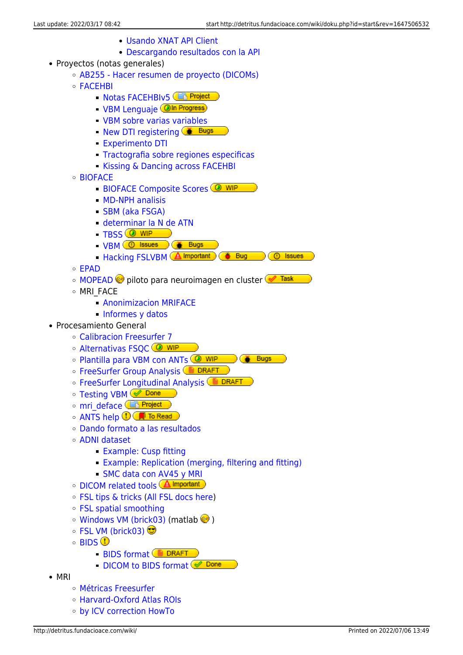- [Usando XNAT API Client](http://detritus.fundacioace.com/wiki/doku.php?id=neuroimagen:xnat_apiclient_using)
- [Descargando resultados con la API](http://detritus.fundacioace.com/wiki/doku.php?id=neuroimagen:xnat_apiclient_using2)
- Proyectos (notas generales)
	- [AB255 Hacer resumen de proyecto \(DICOMs\)](http://detritus.fundacioace.com/wiki/doku.php?id=neuroimagen:dicom_report)
	- [FACEHBI](http://detritus.fundacioace.com/wiki/doku.php?id=neuroimagen:facehbi)
		- [Notas FACEHBIv5](http://detritus.fundacioace.com/wiki/doku.php?id=neuroimagen:notas_f5cehbi)<sup>Ch</sup> Project
		- **[VBM Lenguaje](http://detritus.fundacioace.com/wiki/doku.php?id=neuroimagen:vbm_lang)** *Oln Progress*
		- [VBM sobre varias variables](http://detritus.fundacioace.com/wiki/doku.php?id=neuroimagen:facehbi_vbm)
		- [New DTI registering](http://detritus.fundacioace.com/wiki/doku.php?id=neuroimagen:altcorrdti)  $\left($  Bugs
		- **[Experimento DTI](http://detritus.fundacioace.com/wiki/doku.php?id=neuroimagen:altdti_2020)**
		- [Tractografia sobre regiones especificas](http://detritus.fundacioace.com/wiki/doku.php?id=neuroimagen:flipa)
		- **[Kissing & Dancing across FACEHBI](http://detritus.fundacioace.com/wiki/doku.php?id=neuroimagen:kissing_fac)**
	- [BIOFACE](http://detritus.fundacioace.com/wiki/doku.php?id=neuroimagen:bioface)
		- **[BIOFACE Composite Scores](http://detritus.fundacioace.com/wiki/doku.php?id=neuroimagen:bioface_np_cs) @ WIP**
		- [MD-NPH analisis](http://detritus.fundacioace.com/wiki/doku.php?id=neuroimagen:md_nph)
		- [SBM \(aka FSGA\)](http://detritus.fundacioace.com/wiki/doku.php?id=neuroimagen:bioface_sbm)
		- [determinar la N de ATN](http://detritus.fundacioace.com/wiki/doku.php?id=neuroimagen:bioface_atn)
		- $TBSS$   $\overline{\text{Q} \text{WIP}}$
		- [VBM](http://detritus.fundacioace.com/wiki/doku.php?id=neuroimagen:bioface_vbm) **O** Issues **CALC** Bugs
		- [Hacking FSLVBM](http://detritus.fundacioace.com/wiki/doku.php?id=neuroimagen:hack_fslvbm) **Almportant**  $\bullet$  Bug **C** Issues
	- [EPAD](http://detritus.fundacioace.com/wiki/doku.php?id=neuroimagen:epad)
	- ⊙ [MOPEAD](http://detritus.fundacioace.com/wiki/doku.php?id=neuroimagen:mopead_c) i piloto para neuroimagen en cluster
	- o MRI FACE
		- **[Anonimizacion MRIFACE](http://detritus.fundacioace.com/wiki/doku.php?id=neuroimagen:preanonym)**
		- [Informes y datos](http://detritus.fundacioace.com/wiki/doku.php?id=neuroimagen:mriface_reports)
- Procesamiento General
	- [Calibracion Freesurfer 7](http://detritus.fundacioace.com/wiki/doku.php?id=neuroimagen:freesurfer7)
	- o [Alternativas FSQC](http://detritus.fundacioace.com/wiki/doku.php?id=neuroimagen:fsqc_alt) <sup>O WIP</sup>
	- ⊙ [Plantilla para VBM con ANTs](http://detritus.fundacioace.com/wiki/doku.php?id=neuroimagen:vbm_ants) <sup>(20</sup> WIP → Contest
	- **[FreeSurfer Group Analysis](http://detritus.fundacioace.com/wiki/doku.php?id=neuroimagen:fs_group_analysis) CO DRAFT**
	- **[FreeSurfer Longitudinal Analysis](http://detritus.fundacioace.com/wiki/doku.php?id=neuroimagen:fs_long_analysis) BIDRAFT**
	- [Testing VBM](http://detritus.fundacioace.com/wiki/doku.php?id=neuroimagen:fslvbm_test) <u>© Done</u>
	- o mri deface **Chi Project**
	- $\circ$  [ANTS help](https://github.com/ANTsX/ANTs/wiki/Forward-and-inverse-warps-for-warping-images,-pointsets-and-Jacobians)  $\bigcirc$   $\blacksquare$  To Read
	- [Dando formato a las resultados](http://detritus.fundacioace.com/wiki/doku.php?id=neuroimagen:dando_formato_a_las_resultados)
	- [ADNI dataset](http://detritus.fundacioace.com/wiki/doku.php?id=neuroimagen:adni_data)
		- **[Example: Cusp fitting](http://detritus.fundacioace.com/wiki/doku.php?id=neuroimagen:adni_cusp)**
		- [Example: Replication \(merging, filtering and fitting\)](http://detritus.fundacioace.com/wiki/doku.php?id=neuroimagen:adni_dr_av45)
		- [SMC data con AV45 y MRI](http://detritus.fundacioace.com/wiki/doku.php?id=neuroimagen:adni_smc)
	- **[DICOM related tools](http://detritus.fundacioace.com/wiki/doku.php?id=neuroimagen:dcanon) A** Important
	- [FSL tips & tricks](http://detritus.fundacioace.com/wiki/doku.php?id=neuroimagen:fsl) [\(All FSL docs here\)](http://fsl.fmrib.ox.ac.uk/fsl/fslwiki/)
	- [FSL spatial smoothing](http://detritus.fundacioace.com/wiki/doku.php?id=neuroimagen:fsl_smooth)
	- $\circ$  [Windows VM \(brick03\)](http://detritus.fundacioace.com/wiki/doku.php?id=neuroimagen:virtual) (matlab  $\bullet$ )
	- $\circ$  [FSL VM \(brick03\)](http://detritus.fundacioace.com/wiki/doku.php?id=neuroimagen:virtfsl)
	- $\circ$  [BIDS](http://bids.neuroimaging.io/)  $\circledR$ 
		- **BIDS** format **B** DRAFT
		- [DICOM to BIDS format](http://detritus.fundacioace.com/wiki/doku.php?id=neuroimagen:dcm2bids) <> Done
- MRI
	- [Métricas Freesurfer](http://detritus.fundacioace.com/wiki/doku.php?id=neuroimagen:fs_metrics)
	- [Harvard-Oxford Atlas ROIs](http://detritus.fundacioace.com/wiki/doku.php?id=neuroimagen:hoatlas)
	- [by ICV correction HowTo](http://detritus.fundacioace.com/wiki/doku.php?id=neuroimagen:byicv)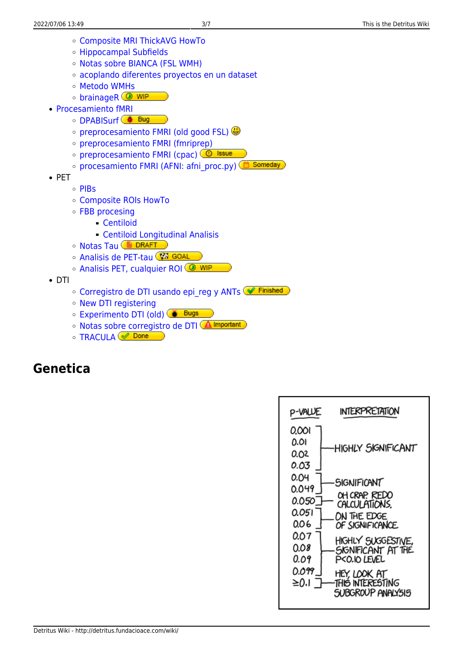- [Composite MRI ThickAVG HowTo](http://detritus.fundacioace.com/wiki/doku.php?id=neuroimagen:comp_mri_cort)
- [Hippocampal Subfields](http://detritus.fundacioace.com/wiki/doku.php?id=neuroimagen:hsf)
- o [Notas sobre BIANCA \(FSL WMH\)](http://detritus.fundacioace.com/wiki/doku.php?id=neuroimagen:bianca)
- [acoplando diferentes proyectos en un dataset](http://detritus.fundacioace.com/wiki/doku.php?id=neuroimagen:merging_all)
- [Metodo WMHs](http://detritus.fundacioace.com/wiki/doku.php?id=neuroimagen:pgs)
- o [brainageR](http://detritus.fundacioace.com/wiki/doku.php?id=neuroimagen:brainager) **@** WIP
- [Procesamiento fMRI](http://detritus.fundacioace.com/wiki/doku.php?id=neuroimagen:fmri)
	- [DPABISurf](http://detritus.fundacioace.com/wiki/doku.php?id=neuroimagen:dpabi) <sup>1</sup> Bug
	- $\circ$  [preprocesamiento FMRI \(old good FSL\)](http://detritus.fundacioace.com/wiki/doku.php?id=neuroimagen:fmri_fsl)
	- [preprocesamiento FMRI \(fmriprep\)](http://detritus.fundacioace.com/wiki/doku.php?id=neuroimagen:fmriprep)
	- o [preprocesamiento FMRI \(cpac\)](http://detritus.fundacioace.com/wiki/doku.php?id=neuroimagen:cpac) **@ Issue**
	- o [procesamiento FMRI \(AFNI: afni\\_proc.py\)](http://detritus.fundacioace.com/wiki/doku.php?id=neuroimagen:afni_proc) **(d)** Someday
- $\bullet$  PET
	- o [PIBs](http://detritus.fundacioace.com/wiki/doku.php?id=neuroimagen:pib_troubles)
	- [Composite ROIs HowTo](http://detritus.fundacioace.com/wiki/doku.php?id=neuroimagen:xrois)
	- [FBB procesing](http://detritus.fundacioace.com/wiki/doku.php?id=neuroimagen:fbb)
		- [Centiloid](http://detritus.fundacioace.com/wiki/doku.php?id=neuroimagen:centiloid)
		- [Centiloid Longitudinal Analisis](http://detritus.fundacioace.com/wiki/doku.php?id=neuroimagen:longitudinal_centiloid)
	- **[Notas Tau](http://detritus.fundacioace.com/wiki/doku.php?id=neuroimagen:tau101) DRAFT**
	- [Analisis de PET-tau](http://detritus.fundacioace.com/wiki/doku.php?id=neuroimagen:tau_analysis_refact) (ESI GOAL
	- [Analisis PET, cualquier ROI](http://detritus.fundacioace.com/wiki/doku.php?id=neuroimagen:pet_any_roi) <sup>(◎ WIP</sup>
- DTI
	- ⊙ [Corregistro de DTI usando epi\\_reg y ANTs](http://detritus.fundacioace.com/wiki/doku.php?id=neuroimagen:epi_reg) ( Finished
	- o [New DTI registering](http://detritus.fundacioace.com/wiki/doku.php?id=neuroimagen:altcorrdti)
	- **Experimento DTI** (old) **& Bugs**
	- **[Notas sobre corregistro de DTI](http://detritus.fundacioace.com/wiki/doku.php?id=neuroimagen:notas_corregistro) Almportant**
	- $\circ$  [TRACULA](http://detritus.fundacioace.com/wiki/doku.php?id=neuroimagen:tracula)  $\circ$  Done

# **Genetica**

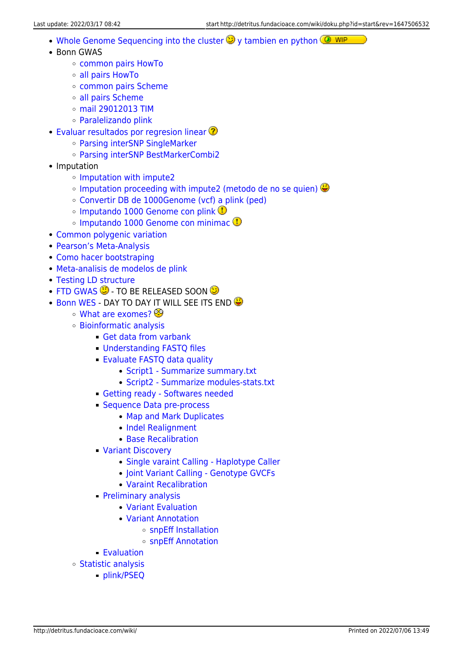- [Whole Genome Sequencing into the cluster](http://detritus.fundacioace.com/wiki/doku.php?id=genetica:wgs)  $\bigcirc$  [y tambien en python](http://detritus.fundacioace.com/wiki/doku.php?id=genetica:pywgs)  $\circledcirc$  WIP
- Bonn GWAS
	- [common pairs HowTo](http://detritus.fundacioace.com/wiki/doku.php?id=genetica:bonngwas)
	- [all pairs HowTo](http://detritus.fundacioace.com/wiki/doku.php?id=genetica:bonngwas_all)
	- o [common pairs Scheme](http://detritus.fundacioace.com/wiki/doku.php?id=genetica:bgscheme)
	- [all pairs Scheme](http://detritus.fundacioace.com/wiki/doku.php?id=genetica:bgscheme_all)
	- [mail 29012013 TIM](http://detritus.fundacioace.com/wiki/doku.php?id=genetica:mail_29012013_tim)
	- [Paralelizando plink](http://detritus.fundacioace.com/wiki/doku.php?id=genetica:plink_parallel)
- **[Evaluar resultados por regresion linear](http://detritus.fundacioace.com/wiki/doku.php?id=genetica:comp_histo)**  $\Omega$ 
	- [Parsing interSNP SingleMarker](http://detritus.fundacioace.com/wiki/doku.php?id=genetica:parsing1)
	- [Parsing interSNP BestMarkerCombi2](http://detritus.fundacioace.com/wiki/doku.php?id=genetica:parsing2)
- Imputation
	- o [Imputation with impute2](http://detritus.fundacioace.com/wiki/doku.php?id=genetica:impute)
	- $\circ$  [Imputation proceeding with impute2 \(metodo de no se quien\)](http://detritus.fundacioace.com/wiki/doku.php?id=genetica:impute2)
	- [Convertir DB de 1000Genome \(vcf\) a plink \(ped\)](http://detritus.fundacioace.com/wiki/doku.php?id=genetica:pre_1kg)
	- $\circ$  [Imputando 1000 Genome con plink](http://detritus.fundacioace.com/wiki/doku.php?id=genetica:plink_1kg_impute)
	- $\circ$  [Imputando 1000 Genome con minimac](http://detritus.fundacioace.com/wiki/doku.php?id=genetica:minimac_1kg_impute)  $\bullet$
- [Common polygenic variation](http://detritus.fundacioace.com/wiki/doku.php?id=genetica:polygenic)
- [Pearson's Meta-Analysis](http://detritus.fundacioace.com/wiki/doku.php?id=genetica:metapearson)
- [Como hacer bootstraping](http://detritus.fundacioace.com/wiki/doku.php?id=genetica:bootstraping)
- [Meta-analisis de modelos de plink](http://detritus.fundacioace.com/wiki/doku.php?id=genetica:preproc_models)
- [Testing LD structure](http://detritus.fundacioace.com/wiki/doku.php?id=genetica:ld_struc)
- $\cdot$  [FTD GWAS](http://detritus.fundacioace.com/wiki/doku.php?id=genetica:ftd)  $\mathbb G$  TO BE RELEASED SOON  $\mathbb G$
- . [Bonn WES](http://detritus.fundacioace.com/wiki/doku.php?id=genetica) DAY TO DAY IT WILL SEE ITS END
	- [What are exomes?](http://detritus.fundacioace.com/wiki/doku.php?id=genetica:intro) <sup>©</sup>
	- [Bioinformatic analysis](http://detritus.fundacioace.com/wiki/doku.php?id=genetica:bioinf_process)
		- [Get data from varbank](http://detritus.fundacioace.com/wiki/doku.php?id=genetica:bioinf_process:download)
		- [Understanding FASTQ files](http://detritus.fundacioace.com/wiki/doku.php?id=genetica:bioinf_process:fastq-file)
		- [Evaluate FASTQ data quality](http://detritus.fundacioace.com/wiki/doku.php?id=genetica:bioinf_process:fastqc)
			- [Script1 Summarize summary.txt](http://detritus.fundacioace.com/wiki/doku.php?id=genetica:bioinf_process:fastqc:script1)
			- [Script2 Summarize modules-stats.txt](http://detritus.fundacioace.com/wiki/doku.php?id=genetica:bioinf_process:fastqc:script2)
		- [Getting ready Softwares needed](http://detritus.fundacioace.com/wiki/doku.php?id=genetica:bioinf_process:getready)
		- **[Sequence Data pre-process](http://detritus.fundacioace.com/wiki/doku.php?id=genetica:bioinf_process:cleanup)** 
			- [Map and Mark Duplicates](http://detritus.fundacioace.com/wiki/doku.php?id=genetica:bioinf_process:cleanup:bwa)
			- [Indel Realignment](http://detritus.fundacioace.com/wiki/doku.php?id=genetica:bioinf_process:cleanup:indel_realignment)
			- [Base Recalibration](http://detritus.fundacioace.com/wiki/doku.php?id=genetica:bioinf_process:cleanup:bqsr)
		- [Variant Discovery](http://detritus.fundacioace.com/wiki/doku.php?id=genetica:bioinf_process:discovery)
			- [Single varaint Calling Haplotype Caller](http://detritus.fundacioace.com/wiki/doku.php?id=genetica:bioinf_process:discovery:hc)
			- [Joint Variant Calling Genotype GVCFs](http://detritus.fundacioace.com/wiki/doku.php?id=genetica:bioinf_process:discovery:genotypegvcfs)
			- [Varaint Recalibration](http://detritus.fundacioace.com/wiki/doku.php?id=genetica:bioinf_process:discovery:vqsr)
		- **[Preliminary analysis](http://detritus.fundacioace.com/wiki/doku.php?id=genetica:bioinf_process:preanalyis)** 
			- [Variant Evaluation](http://detritus.fundacioace.com/wiki/doku.php?id=genetica:bioinf_process:evaluation)
			- [Variant Annotation](http://detritus.fundacioace.com/wiki/doku.php?id=genetica:bioinf_process:anotation)
				- [snpEff Installation](http://detritus.fundacioace.com/wiki/doku.php?id=genetica:bioinf_process:snpeff:installation)
					- o [snpEff Annotation](http://detritus.fundacioace.com/wiki/doku.php?id=genetica:bioinf_process:snpeff:running)
		- [Evaluation](http://detritus.fundacioace.com/wiki/doku.php?id=genetica:bioinf_process:vareval)
	- [Statistic analysis](http://detritus.fundacioace.com/wiki/doku.php?id=genetica:stats_process)
		- [plink/PSEQ](http://detritus.fundacioace.com/wiki/doku.php?id=genetica:stats_process:plinkpseq)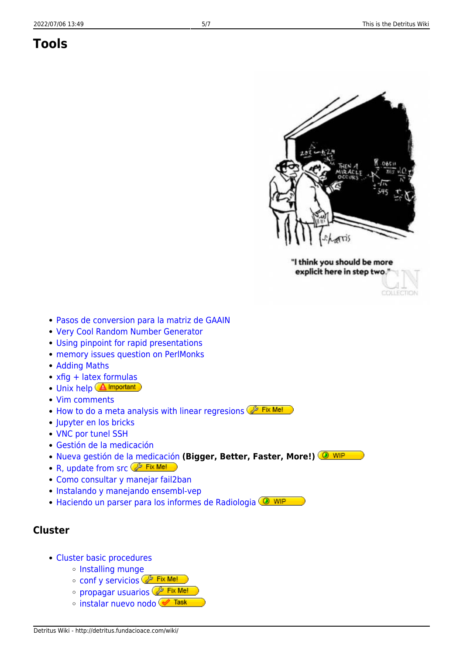# **Tools**



"I think you should be more explicit here in step two.'

COLLECTION

- [Pasos de conversion para la matriz de GAAIN](http://detritus.fundacioace.com/wiki/doku.php?id=gaain:convert)
- [Very Cool Random Number Generator](http://xkcd.com/221/)
- [Using pinpoint for rapid presentations](http://detritus.fundacioace.com/wiki/doku.php?id=pinpoint)
- [memory issues question on PerlMonks](http://www.perlmonks.org?node_id=1015642)
- [Adding Maths](http://detritus.fundacioace.com/wiki/doku.php?id=tools:latex)
- [xfig + latex formulas](http://graphics.stanford.edu/lab/howto/xfig_latex.html)
- [Unix help](http://detritus.fundacioace.com/wiki/doku.php?id=commands) **A** Important
- [Vim comments](http://detritus.fundacioace.com/wiki/doku.php?id=vim_comments)
- [How to do a meta analysis with linear regresions](http://detritus.fundacioace.com/wiki/doku.php?id=betameta) **P** Fix Me!
- [Jupyter en los bricks](http://detritus.fundacioace.com/wiki/doku.php?id=brickjupy)
- [VNC por tunel SSH](http://detritus.fundacioace.com/wiki/doku.php?id=vnc_ssh_tunel)
- [Gestión de la medicación](http://detritus.fundacioace.com/wiki/doku.php?id=medicacion)
- [Nueva gestión de la medicación](http://detritus.fundacioace.com/wiki/doku.php?id=medicacion2021) **(Bigger, Better, Faster, More!)**
- R, update from  $src \n\mathbb{Z}$  Fix Me!
- [Como consultar y manejar fail2ban](http://detritus.fundacioace.com/wiki/doku.php?id=system:fail2ban)
- [Instalando y manejando ensembl-vep](http://detritus.fundacioace.com/wiki/doku.php?id=genetica:vep-install)
- [Haciendo un parser para los informes de Radiologia](http://detritus.fundacioace.com/wiki/doku.php?id=parse_informe) <sup>1</sup>

#### **Cluster**

- [Cluster basic procedures](http://detritus.fundacioace.com/wiki/doku.php?id=cluster)
	- o [Installing munge](http://detritus.fundacioace.com/wiki/doku.php?id=cluster:munge)
	- **[conf y servicios](http://detritus.fundacioace.com/wiki/doku.php?id=cluster:restart)** *C* Fix Me!
	- **Propagar usuarios** Pix Me!
	- ∘ [instalar nuevo nodo](http://detritus.fundacioace.com/wiki/doku.php?id=cluster:instalar_nodo) <del>√ Task</del>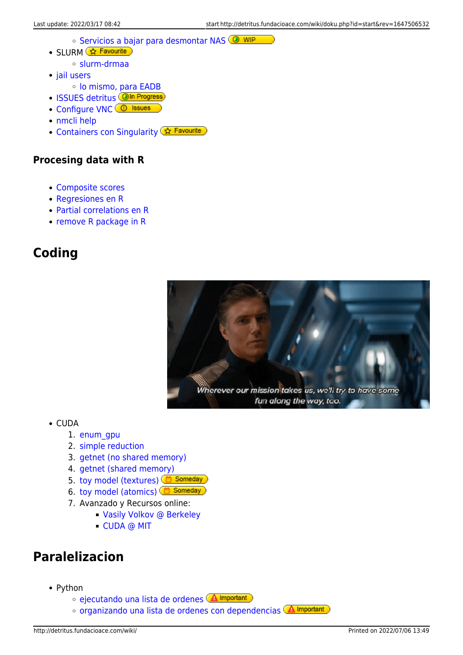- **[Servicios a bajar para desmontar NAS](http://detritus.fundacioace.com/wiki/doku.php?id=cluster:umount_nas) CO WIP**
- SLURM <u>☆ Favourite</u>
	- [slurm-drmaa](http://detritus.fundacioace.com/wiki/doku.php?id=cluster:slurm-drmaa)
- [jail users](http://detritus.fundacioace.com/wiki/doku.php?id=cluster:chroot)
	- [lo mismo, para EADB](http://detritus.fundacioace.com/wiki/doku.php?id=cluster:chroot_eadb)
- [ISSUES detritus](http://detritus.fundacioace.com/wiki/doku.php?id=cluster:detritus_ko) **OIn Progress**
- [Configure VNC](https://www.krizna.com/centos/setup-vnc-server-centos-8-rhel-8/) **C** Issues
- [nmcli help](https://www.golinuxcloud.com/nmcli-command-examples-cheatsheet-centos-rhel/#27_Delete_connection)
- [Containers con Singularity](http://detritus.fundacioace.com/wiki/doku.php?id=cluster:make_container) <a>Contained</a>

#### **Procesing data with R**

- [Composite scores](http://detritus.fundacioace.com/wiki/doku.php?id=r:composites)
- [Regresiones en R](http://detritus.fundacioace.com/wiki/doku.php?id=neuroimagen:r_lmfit)
- [Partial correlations en R](http://detritus.fundacioace.com/wiki/doku.php?id=neuroimagen:pcor)
- [remove R package in R](http://detritus.fundacioace.com/wiki/doku.php?id=remove_r_package_in_r)

# **Coding**



- CUDA
	- 1. [enum\\_gpu](http://detritus.fundacioace.com/wiki/doku.php?id=cuda:enum_gpu)
	- 2. [simple reduction](http://detritus.fundacioace.com/wiki/doku.php?id=cuda:reduction0)
	- 3. [getnet \(no shared memory\)](http://detritus.fundacioace.com/wiki/doku.php?id=cuda:getnet0)
	- 4. [getnet \(shared memory\)](http://detritus.fundacioace.com/wiki/doku.php?id=cuda:getnet1)
	- 5. [toy model \(textures\)](http://detritus.fundacioace.com/wiki/doku.php?id=cuda:toy0) **6 Someday**
	- 6. [toy model \(atomics\)](http://detritus.fundacioace.com/wiki/doku.php?id=cuda:toy1) **6** Someday
	- 7. Avanzado y Recursos online:
		- [Vasily Volkov @ Berkeley](http://www.cs.berkeley.edu/~volkov/)
			- [CUDA @ MIT](https://sites.google.com/site/cudaiap2009/)

# **Paralelizacion**

- Python
	- o [ejecutando una lista de ordenes](http://detritus.fundacioace.com/wiki/doku.php?id=cluster:slurmize) **A Important**
	- o [organizando una lista de ordenes con dependencias](http://detritus.fundacioace.com/wiki/doku.php?id=cluster:slurmize_deps) **A** Important